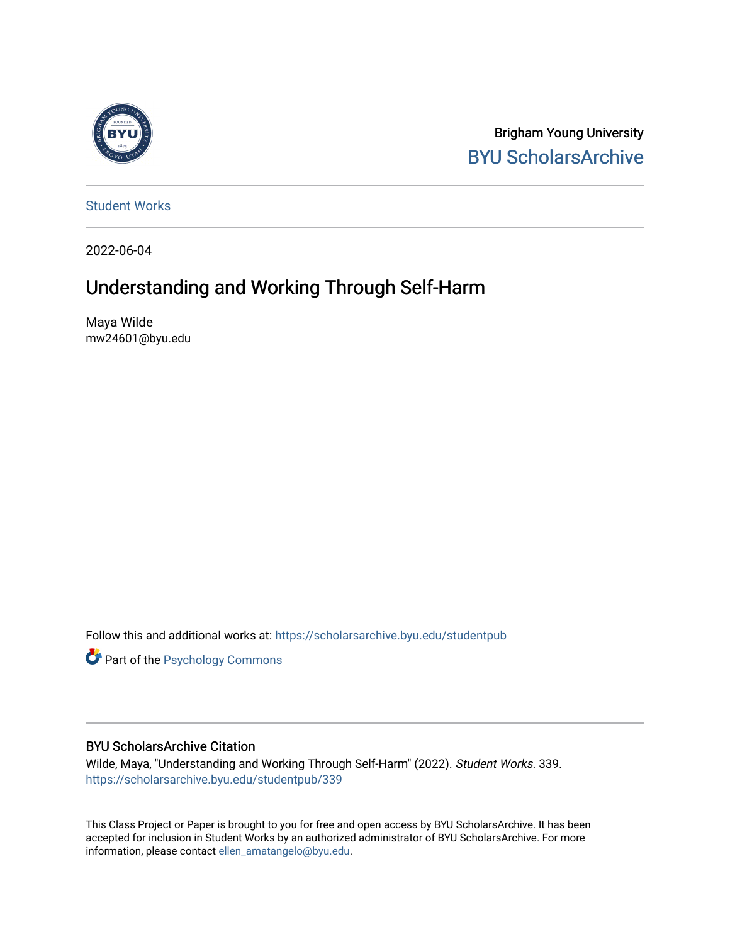

Brigham Young University [BYU ScholarsArchive](https://scholarsarchive.byu.edu/) 

[Student Works](https://scholarsarchive.byu.edu/studentpub)

2022-06-04

# Understanding and Working Through Self-Harm

Maya Wilde mw24601@byu.edu

Follow this and additional works at: [https://scholarsarchive.byu.edu/studentpub](https://scholarsarchive.byu.edu/studentpub?utm_source=scholarsarchive.byu.edu%2Fstudentpub%2F339&utm_medium=PDF&utm_campaign=PDFCoverPages)

**Part of the Psychology Commons** 

# BYU ScholarsArchive Citation

Wilde, Maya, "Understanding and Working Through Self-Harm" (2022). Student Works. 339. [https://scholarsarchive.byu.edu/studentpub/339](https://scholarsarchive.byu.edu/studentpub/339?utm_source=scholarsarchive.byu.edu%2Fstudentpub%2F339&utm_medium=PDF&utm_campaign=PDFCoverPages)

This Class Project or Paper is brought to you for free and open access by BYU ScholarsArchive. It has been accepted for inclusion in Student Works by an authorized administrator of BYU ScholarsArchive. For more information, please contact [ellen\\_amatangelo@byu.edu.](mailto:ellen_amatangelo@byu.edu)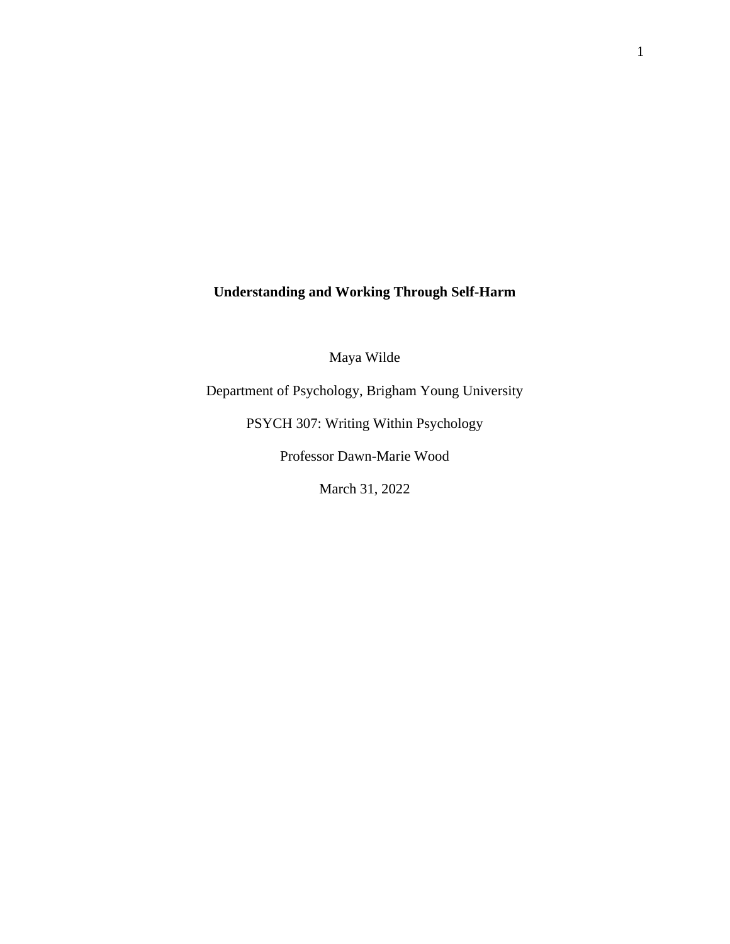# **Understanding and Working Through Self-Harm**

Maya Wilde

Department of Psychology, Brigham Young University

PSYCH 307: Writing Within Psychology

Professor Dawn-Marie Wood

March 31, 2022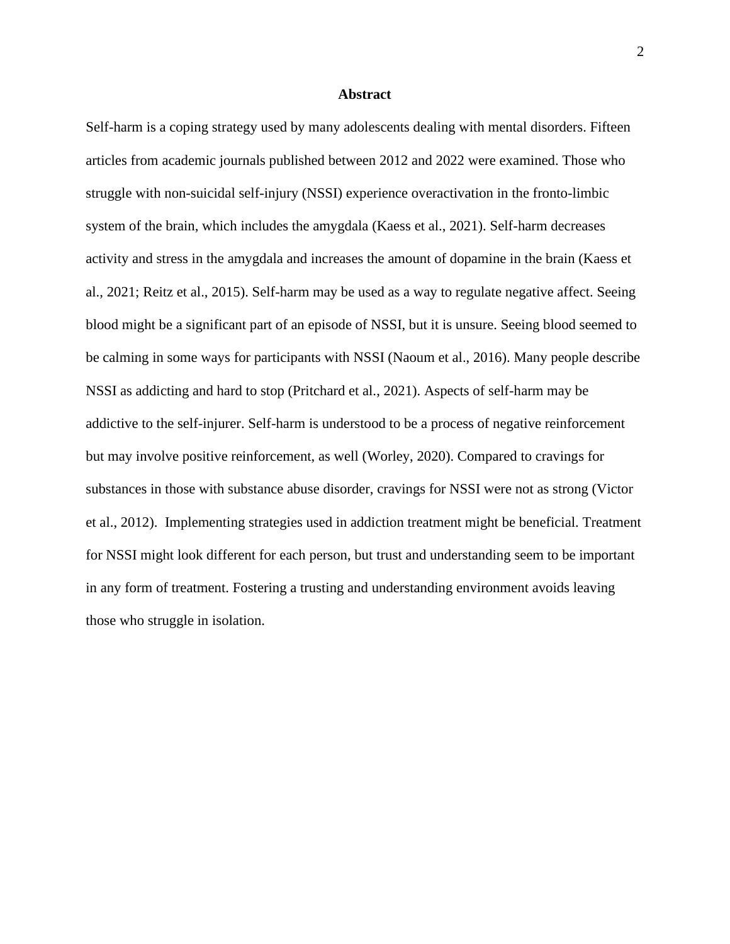## **Abstract**

Self-harm is a coping strategy used by many adolescents dealing with mental disorders. Fifteen articles from academic journals published between 2012 and 2022 were examined. Those who struggle with non-suicidal self-injury (NSSI) experience overactivation in the fronto-limbic system of the brain, which includes the amygdala (Kaess et al., 2021). Self-harm decreases activity and stress in the amygdala and increases the amount of dopamine in the brain (Kaess et al., 2021; Reitz et al., 2015). Self-harm may be used as a way to regulate negative affect. Seeing blood might be a significant part of an episode of NSSI, but it is unsure. Seeing blood seemed to be calming in some ways for participants with NSSI (Naoum et al., 2016). Many people describe NSSI as addicting and hard to stop (Pritchard et al., 2021). Aspects of self-harm may be addictive to the self-injurer. Self-harm is understood to be a process of negative reinforcement but may involve positive reinforcement, as well (Worley, 2020). Compared to cravings for substances in those with substance abuse disorder, cravings for NSSI were not as strong (Victor et al., 2012). Implementing strategies used in addiction treatment might be beneficial. Treatment for NSSI might look different for each person, but trust and understanding seem to be important in any form of treatment. Fostering a trusting and understanding environment avoids leaving those who struggle in isolation.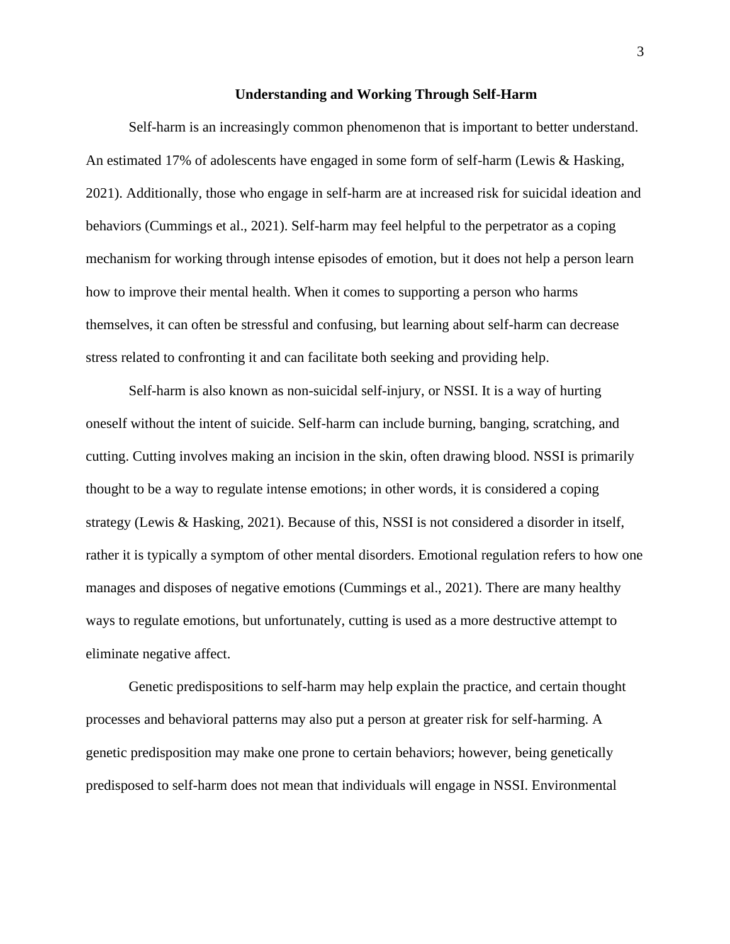#### **Understanding and Working Through Self-Harm**

Self-harm is an increasingly common phenomenon that is important to better understand. An estimated 17% of adolescents have engaged in some form of self-harm (Lewis & Hasking, 2021). Additionally, those who engage in self-harm are at increased risk for suicidal ideation and behaviors (Cummings et al., 2021). Self-harm may feel helpful to the perpetrator as a coping mechanism for working through intense episodes of emotion, but it does not help a person learn how to improve their mental health. When it comes to supporting a person who harms themselves, it can often be stressful and confusing, but learning about self-harm can decrease stress related to confronting it and can facilitate both seeking and providing help.

Self-harm is also known as non-suicidal self-injury, or NSSI. It is a way of hurting oneself without the intent of suicide. Self-harm can include burning, banging, scratching, and cutting. Cutting involves making an incision in the skin, often drawing blood. NSSI is primarily thought to be a way to regulate intense emotions; in other words, it is considered a coping strategy (Lewis & Hasking, 2021). Because of this, NSSI is not considered a disorder in itself, rather it is typically a symptom of other mental disorders. Emotional regulation refers to how one manages and disposes of negative emotions (Cummings et al., 2021). There are many healthy ways to regulate emotions, but unfortunately, cutting is used as a more destructive attempt to eliminate negative affect.

Genetic predispositions to self-harm may help explain the practice, and certain thought processes and behavioral patterns may also put a person at greater risk for self-harming. A genetic predisposition may make one prone to certain behaviors; however, being genetically predisposed to self-harm does not mean that individuals will engage in NSSI. Environmental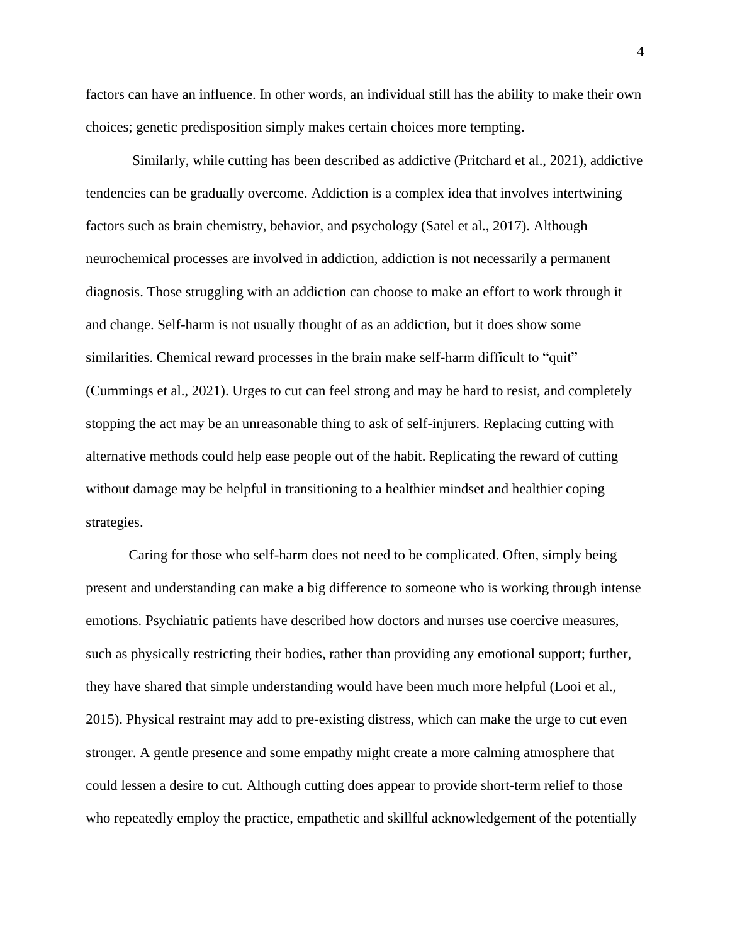factors can have an influence. In other words, an individual still has the ability to make their own choices; genetic predisposition simply makes certain choices more tempting.

Similarly, while cutting has been described as addictive (Pritchard et al., 2021), addictive tendencies can be gradually overcome. Addiction is a complex idea that involves intertwining factors such as brain chemistry, behavior, and psychology (Satel et al., 2017). Although neurochemical processes are involved in addiction, addiction is not necessarily a permanent diagnosis. Those struggling with an addiction can choose to make an effort to work through it and change. Self-harm is not usually thought of as an addiction, but it does show some similarities. Chemical reward processes in the brain make self-harm difficult to "quit" (Cummings et al., 2021). Urges to cut can feel strong and may be hard to resist, and completely stopping the act may be an unreasonable thing to ask of self-injurers. Replacing cutting with alternative methods could help ease people out of the habit. Replicating the reward of cutting without damage may be helpful in transitioning to a healthier mindset and healthier coping strategies.

Caring for those who self-harm does not need to be complicated. Often, simply being present and understanding can make a big difference to someone who is working through intense emotions. Psychiatric patients have described how doctors and nurses use coercive measures, such as physically restricting their bodies, rather than providing any emotional support; further, they have shared that simple understanding would have been much more helpful (Looi et al., 2015). Physical restraint may add to pre-existing distress, which can make the urge to cut even stronger. A gentle presence and some empathy might create a more calming atmosphere that could lessen a desire to cut. Although cutting does appear to provide short-term relief to those who repeatedly employ the practice, empathetic and skillful acknowledgement of the potentially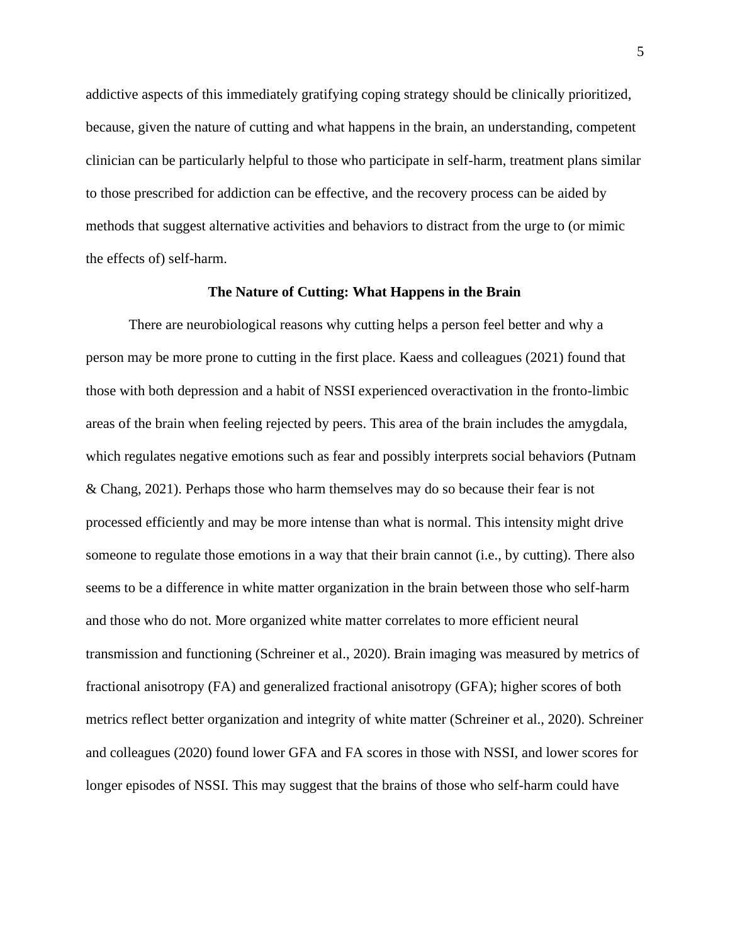addictive aspects of this immediately gratifying coping strategy should be clinically prioritized, because, given the nature of cutting and what happens in the brain, an understanding, competent clinician can be particularly helpful to those who participate in self-harm, treatment plans similar to those prescribed for addiction can be effective, and the recovery process can be aided by methods that suggest alternative activities and behaviors to distract from the urge to (or mimic the effects of) self-harm.

#### **The Nature of Cutting: What Happens in the Brain**

There are neurobiological reasons why cutting helps a person feel better and why a person may be more prone to cutting in the first place. Kaess and colleagues (2021) found that those with both depression and a habit of NSSI experienced overactivation in the fronto-limbic areas of the brain when feeling rejected by peers. This area of the brain includes the amygdala, which regulates negative emotions such as fear and possibly interprets social behaviors (Putnam & Chang, 2021). Perhaps those who harm themselves may do so because their fear is not processed efficiently and may be more intense than what is normal. This intensity might drive someone to regulate those emotions in a way that their brain cannot (i.e., by cutting). There also seems to be a difference in white matter organization in the brain between those who self-harm and those who do not. More organized white matter correlates to more efficient neural transmission and functioning (Schreiner et al., 2020). Brain imaging was measured by metrics of fractional anisotropy (FA) and generalized fractional anisotropy (GFA); higher scores of both metrics reflect better organization and integrity of white matter (Schreiner et al., 2020). Schreiner and colleagues (2020) found lower GFA and FA scores in those with NSSI, and lower scores for longer episodes of NSSI. This may suggest that the brains of those who self-harm could have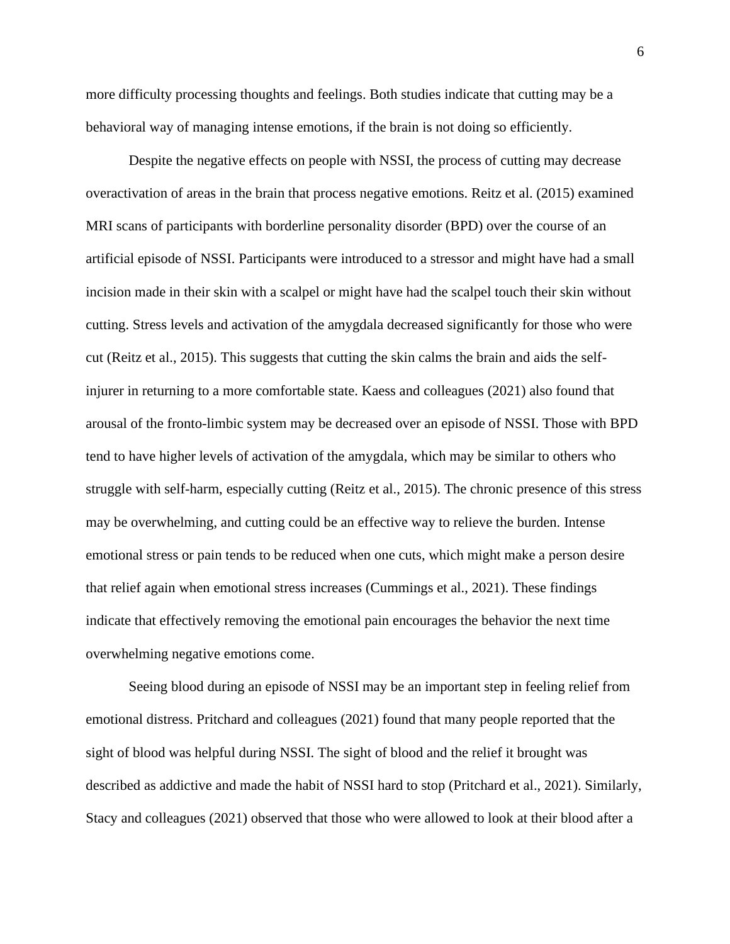more difficulty processing thoughts and feelings. Both studies indicate that cutting may be a behavioral way of managing intense emotions, if the brain is not doing so efficiently.

Despite the negative effects on people with NSSI, the process of cutting may decrease overactivation of areas in the brain that process negative emotions. Reitz et al. (2015) examined MRI scans of participants with borderline personality disorder (BPD) over the course of an artificial episode of NSSI. Participants were introduced to a stressor and might have had a small incision made in their skin with a scalpel or might have had the scalpel touch their skin without cutting. Stress levels and activation of the amygdala decreased significantly for those who were cut (Reitz et al., 2015). This suggests that cutting the skin calms the brain and aids the selfinjurer in returning to a more comfortable state. Kaess and colleagues (2021) also found that arousal of the fronto-limbic system may be decreased over an episode of NSSI. Those with BPD tend to have higher levels of activation of the amygdala, which may be similar to others who struggle with self-harm, especially cutting (Reitz et al., 2015). The chronic presence of this stress may be overwhelming, and cutting could be an effective way to relieve the burden. Intense emotional stress or pain tends to be reduced when one cuts, which might make a person desire that relief again when emotional stress increases (Cummings et al., 2021). These findings indicate that effectively removing the emotional pain encourages the behavior the next time overwhelming negative emotions come.

Seeing blood during an episode of NSSI may be an important step in feeling relief from emotional distress. Pritchard and colleagues (2021) found that many people reported that the sight of blood was helpful during NSSI. The sight of blood and the relief it brought was described as addictive and made the habit of NSSI hard to stop (Pritchard et al., 2021). Similarly, Stacy and colleagues (2021) observed that those who were allowed to look at their blood after a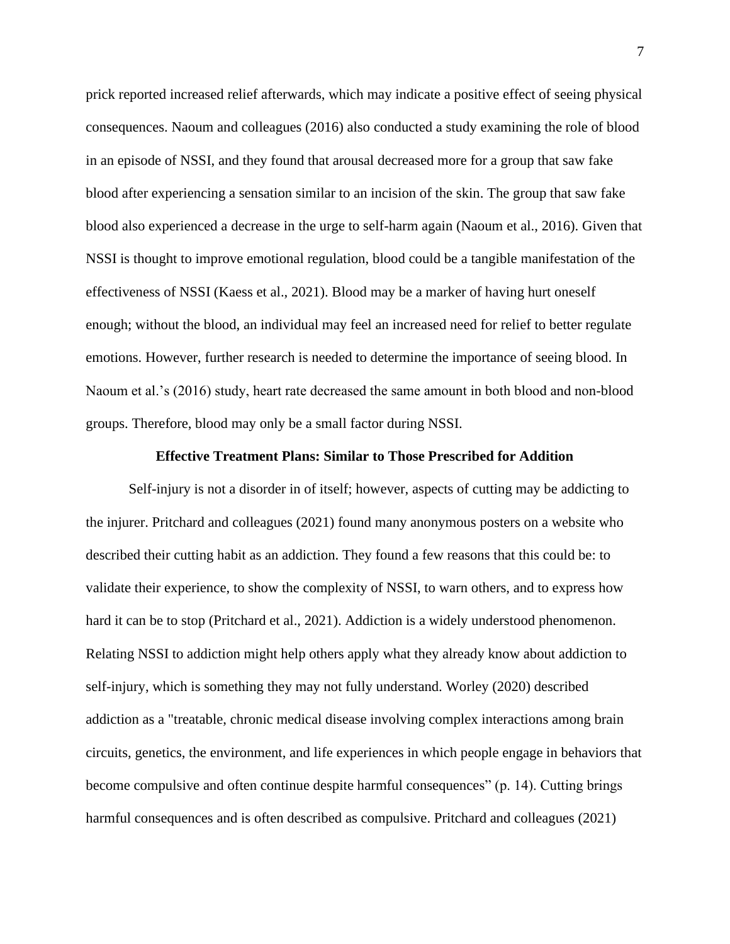prick reported increased relief afterwards, which may indicate a positive effect of seeing physical consequences. Naoum and colleagues (2016) also conducted a study examining the role of blood in an episode of NSSI, and they found that arousal decreased more for a group that saw fake blood after experiencing a sensation similar to an incision of the skin. The group that saw fake blood also experienced a decrease in the urge to self-harm again (Naoum et al., 2016). Given that NSSI is thought to improve emotional regulation, blood could be a tangible manifestation of the effectiveness of NSSI (Kaess et al., 2021). Blood may be a marker of having hurt oneself enough; without the blood, an individual may feel an increased need for relief to better regulate emotions. However, further research is needed to determine the importance of seeing blood. In Naoum et al.'s (2016) study, heart rate decreased the same amount in both blood and non-blood groups. Therefore, blood may only be a small factor during NSSI.

# **Effective Treatment Plans: Similar to Those Prescribed for Addition**

Self-injury is not a disorder in of itself; however, aspects of cutting may be addicting to the injurer. Pritchard and colleagues (2021) found many anonymous posters on a website who described their cutting habit as an addiction. They found a few reasons that this could be: to validate their experience, to show the complexity of NSSI, to warn others, and to express how hard it can be to stop (Pritchard et al., 2021). Addiction is a widely understood phenomenon. Relating NSSI to addiction might help others apply what they already know about addiction to self-injury, which is something they may not fully understand. Worley (2020) described addiction as a "treatable, chronic medical disease involving complex interactions among brain circuits, genetics, the environment, and life experiences in which people engage in behaviors that become compulsive and often continue despite harmful consequences" (p. 14). Cutting brings harmful consequences and is often described as compulsive. Pritchard and colleagues (2021)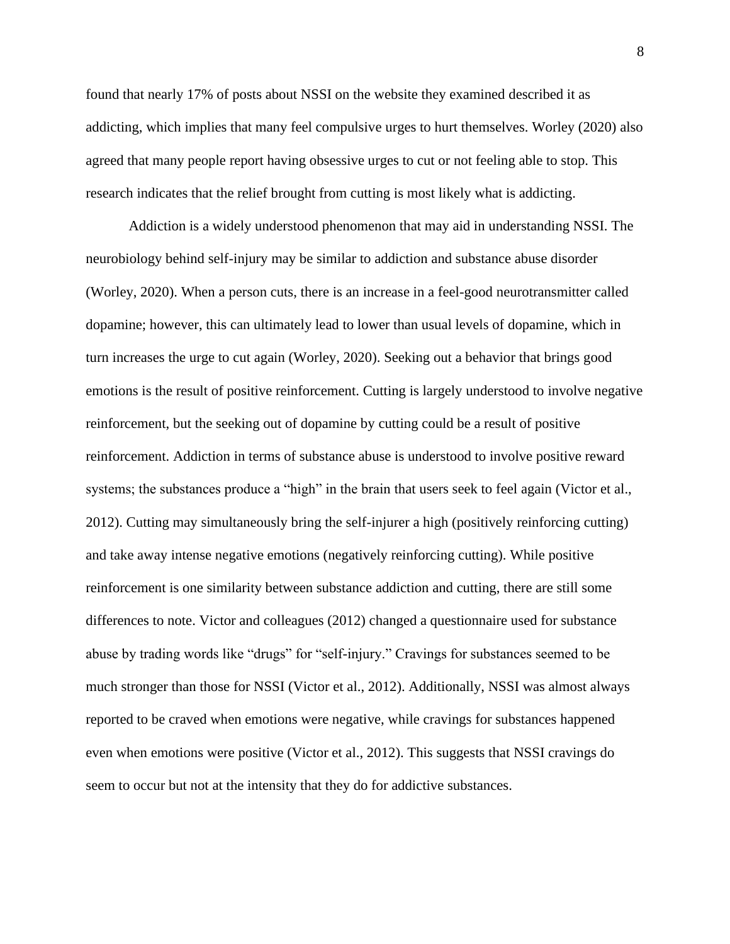found that nearly 17% of posts about NSSI on the website they examined described it as addicting, which implies that many feel compulsive urges to hurt themselves. Worley (2020) also agreed that many people report having obsessive urges to cut or not feeling able to stop. This research indicates that the relief brought from cutting is most likely what is addicting.

Addiction is a widely understood phenomenon that may aid in understanding NSSI. The neurobiology behind self-injury may be similar to addiction and substance abuse disorder (Worley, 2020). When a person cuts, there is an increase in a feel-good neurotransmitter called dopamine; however, this can ultimately lead to lower than usual levels of dopamine, which in turn increases the urge to cut again (Worley, 2020). Seeking out a behavior that brings good emotions is the result of positive reinforcement. Cutting is largely understood to involve negative reinforcement, but the seeking out of dopamine by cutting could be a result of positive reinforcement. Addiction in terms of substance abuse is understood to involve positive reward systems; the substances produce a "high" in the brain that users seek to feel again (Victor et al., 2012). Cutting may simultaneously bring the self-injurer a high (positively reinforcing cutting) and take away intense negative emotions (negatively reinforcing cutting). While positive reinforcement is one similarity between substance addiction and cutting, there are still some differences to note. Victor and colleagues (2012) changed a questionnaire used for substance abuse by trading words like "drugs" for "self-injury." Cravings for substances seemed to be much stronger than those for NSSI (Victor et al., 2012). Additionally, NSSI was almost always reported to be craved when emotions were negative, while cravings for substances happened even when emotions were positive (Victor et al., 2012). This suggests that NSSI cravings do seem to occur but not at the intensity that they do for addictive substances.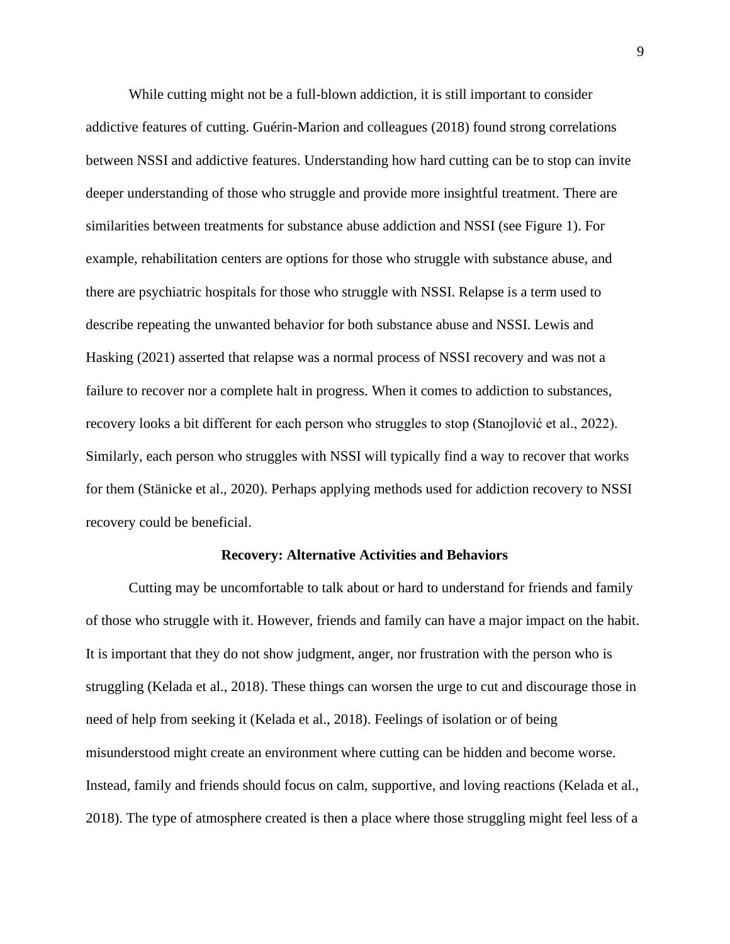While cutting might not be a full-blown addiction, it is still important to consider addictive features of cutting. Guérin-Marion and colleagues (2018) found strong correlations between NSSI and addictive features. Understanding how hard cutting can be to stop can invite deeper understanding of those who struggle and provide more insightful treatment. There are similarities between treatments for substance abuse addiction and NSSI (see Figure 1). For example, rehabilitation centers are options for those who struggle with substance abuse, and there are psychiatric hospitals for those who struggle with NSSI. Relapse is a term used to describe repeating the unwanted behavior for both substance abuse and NSSI. Lewis and Hasking (2021) asserted that relapse was a normal process of NSSI recovery and was not a failure to recover nor a complete halt in progress. When it comes to addiction to substances, recovery looks a bit different for each person who struggles to stop (Stanojlović et al., 2022). Similarly, each person who struggles with NSSI will typically find a way to recover that works for them (Stänicke et al., 2020). Perhaps applying methods used for addiction recovery to NSSI recovery could be beneficial.

#### **Recovery: Alternative Activities and Behaviors**

Cutting may be uncomfortable to talk about or hard to understand for friends and family of those who struggle with it. However, friends and family can have a major impact on the habit. It is important that they do not show judgment, anger, nor frustration with the person who is struggling (Kelada et al., 2018). These things can worsen the urge to cut and discourage those in need of help from seeking it (Kelada et al., 2018). Feelings of isolation or of being misunderstood might create an environment where cutting can be hidden and become worse. Instead, family and friends should focus on calm, supportive, and loving reactions (Kelada et al., 2018). The type of atmosphere created is then a place where those struggling might feel less of a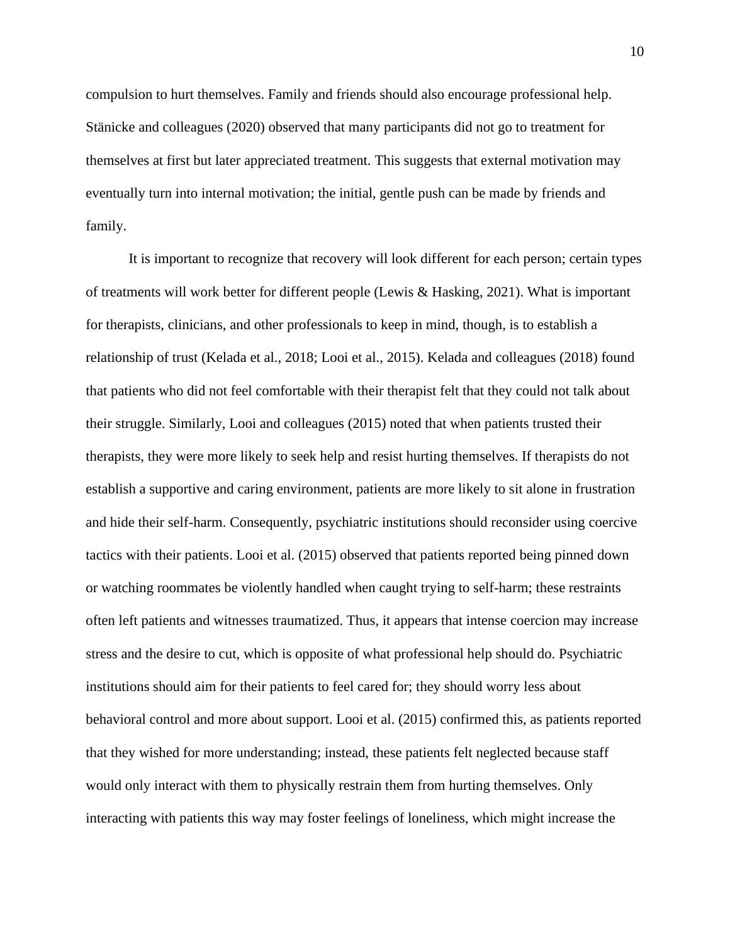compulsion to hurt themselves. Family and friends should also encourage professional help. Stänicke and colleagues (2020) observed that many participants did not go to treatment for themselves at first but later appreciated treatment. This suggests that external motivation may eventually turn into internal motivation; the initial, gentle push can be made by friends and family.

It is important to recognize that recovery will look different for each person; certain types of treatments will work better for different people (Lewis & Hasking, 2021). What is important for therapists, clinicians, and other professionals to keep in mind, though, is to establish a relationship of trust (Kelada et al., 2018; Looi et al., 2015). Kelada and colleagues (2018) found that patients who did not feel comfortable with their therapist felt that they could not talk about their struggle. Similarly, Looi and colleagues (2015) noted that when patients trusted their therapists, they were more likely to seek help and resist hurting themselves. If therapists do not establish a supportive and caring environment, patients are more likely to sit alone in frustration and hide their self-harm. Consequently, psychiatric institutions should reconsider using coercive tactics with their patients. Looi et al. (2015) observed that patients reported being pinned down or watching roommates be violently handled when caught trying to self-harm; these restraints often left patients and witnesses traumatized. Thus, it appears that intense coercion may increase stress and the desire to cut, which is opposite of what professional help should do. Psychiatric institutions should aim for their patients to feel cared for; they should worry less about behavioral control and more about support. Looi et al. (2015) confirmed this, as patients reported that they wished for more understanding; instead, these patients felt neglected because staff would only interact with them to physically restrain them from hurting themselves. Only interacting with patients this way may foster feelings of loneliness, which might increase the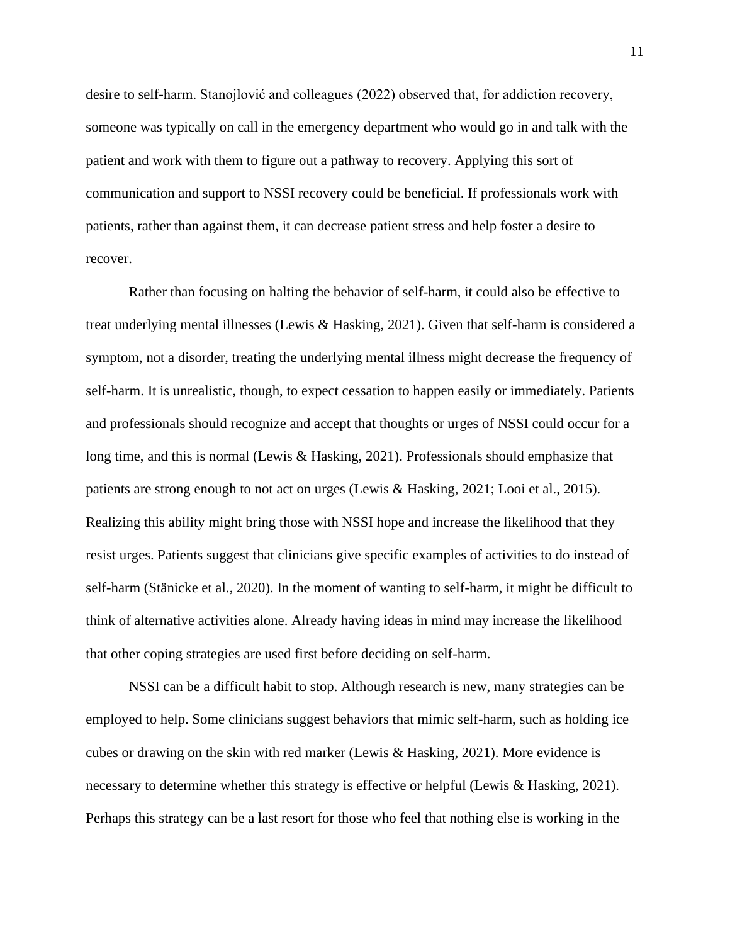desire to self-harm. Stanojlović and colleagues (2022) observed that, for addiction recovery, someone was typically on call in the emergency department who would go in and talk with the patient and work with them to figure out a pathway to recovery. Applying this sort of communication and support to NSSI recovery could be beneficial. If professionals work with patients, rather than against them, it can decrease patient stress and help foster a desire to recover.

Rather than focusing on halting the behavior of self-harm, it could also be effective to treat underlying mental illnesses (Lewis & Hasking, 2021). Given that self-harm is considered a symptom, not a disorder, treating the underlying mental illness might decrease the frequency of self-harm. It is unrealistic, though, to expect cessation to happen easily or immediately. Patients and professionals should recognize and accept that thoughts or urges of NSSI could occur for a long time, and this is normal (Lewis & Hasking, 2021). Professionals should emphasize that patients are strong enough to not act on urges (Lewis & Hasking, 2021; Looi et al., 2015). Realizing this ability might bring those with NSSI hope and increase the likelihood that they resist urges. Patients suggest that clinicians give specific examples of activities to do instead of self-harm (Stänicke et al., 2020). In the moment of wanting to self-harm, it might be difficult to think of alternative activities alone. Already having ideas in mind may increase the likelihood that other coping strategies are used first before deciding on self-harm.

NSSI can be a difficult habit to stop. Although research is new, many strategies can be employed to help. Some clinicians suggest behaviors that mimic self-harm, such as holding ice cubes or drawing on the skin with red marker (Lewis & Hasking, 2021). More evidence is necessary to determine whether this strategy is effective or helpful (Lewis & Hasking, 2021). Perhaps this strategy can be a last resort for those who feel that nothing else is working in the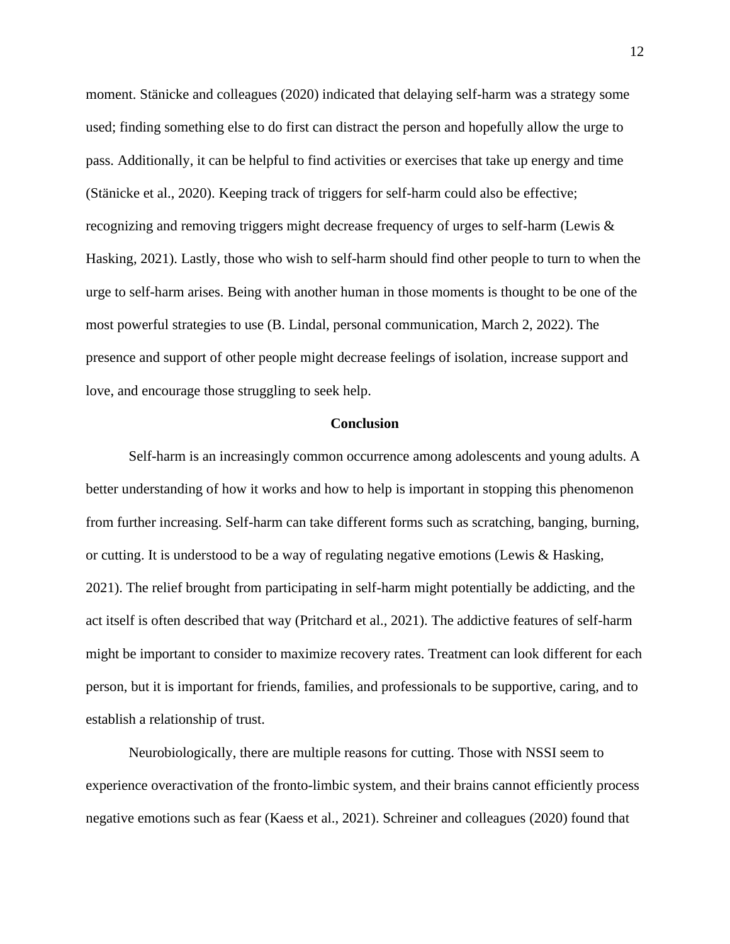moment. Stänicke and colleagues (2020) indicated that delaying self-harm was a strategy some used; finding something else to do first can distract the person and hopefully allow the urge to pass. Additionally, it can be helpful to find activities or exercises that take up energy and time (Stänicke et al., 2020). Keeping track of triggers for self-harm could also be effective; recognizing and removing triggers might decrease frequency of urges to self-harm (Lewis & Hasking, 2021). Lastly, those who wish to self-harm should find other people to turn to when the urge to self-harm arises. Being with another human in those moments is thought to be one of the most powerful strategies to use (B. Lindal, personal communication, March 2, 2022). The presence and support of other people might decrease feelings of isolation, increase support and love, and encourage those struggling to seek help.

### **Conclusion**

Self-harm is an increasingly common occurrence among adolescents and young adults. A better understanding of how it works and how to help is important in stopping this phenomenon from further increasing. Self-harm can take different forms such as scratching, banging, burning, or cutting. It is understood to be a way of regulating negative emotions (Lewis & Hasking, 2021). The relief brought from participating in self-harm might potentially be addicting, and the act itself is often described that way (Pritchard et al., 2021). The addictive features of self-harm might be important to consider to maximize recovery rates. Treatment can look different for each person, but it is important for friends, families, and professionals to be supportive, caring, and to establish a relationship of trust.

Neurobiologically, there are multiple reasons for cutting. Those with NSSI seem to experience overactivation of the fronto-limbic system, and their brains cannot efficiently process negative emotions such as fear (Kaess et al., 2021). Schreiner and colleagues (2020) found that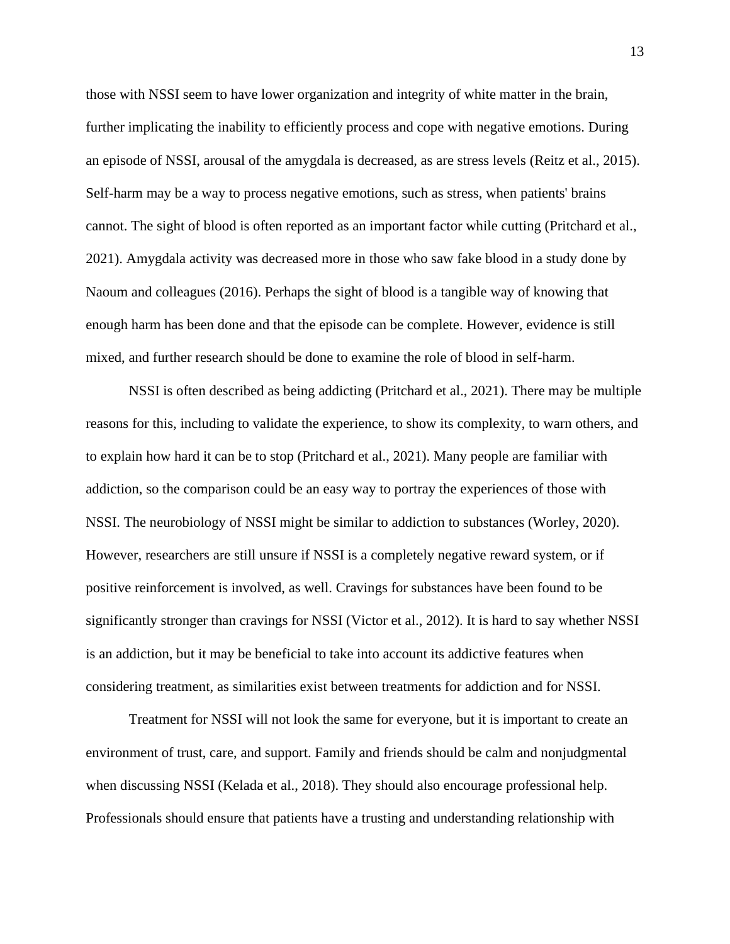those with NSSI seem to have lower organization and integrity of white matter in the brain, further implicating the inability to efficiently process and cope with negative emotions. During an episode of NSSI, arousal of the amygdala is decreased, as are stress levels (Reitz et al., 2015). Self-harm may be a way to process negative emotions, such as stress, when patients' brains cannot. The sight of blood is often reported as an important factor while cutting (Pritchard et al., 2021). Amygdala activity was decreased more in those who saw fake blood in a study done by Naoum and colleagues (2016). Perhaps the sight of blood is a tangible way of knowing that enough harm has been done and that the episode can be complete. However, evidence is still mixed, and further research should be done to examine the role of blood in self-harm.

NSSI is often described as being addicting (Pritchard et al., 2021). There may be multiple reasons for this, including to validate the experience, to show its complexity, to warn others, and to explain how hard it can be to stop (Pritchard et al., 2021). Many people are familiar with addiction, so the comparison could be an easy way to portray the experiences of those with NSSI. The neurobiology of NSSI might be similar to addiction to substances (Worley, 2020). However, researchers are still unsure if NSSI is a completely negative reward system, or if positive reinforcement is involved, as well. Cravings for substances have been found to be significantly stronger than cravings for NSSI (Victor et al., 2012). It is hard to say whether NSSI is an addiction, but it may be beneficial to take into account its addictive features when considering treatment, as similarities exist between treatments for addiction and for NSSI.

Treatment for NSSI will not look the same for everyone, but it is important to create an environment of trust, care, and support. Family and friends should be calm and nonjudgmental when discussing NSSI (Kelada et al., 2018). They should also encourage professional help. Professionals should ensure that patients have a trusting and understanding relationship with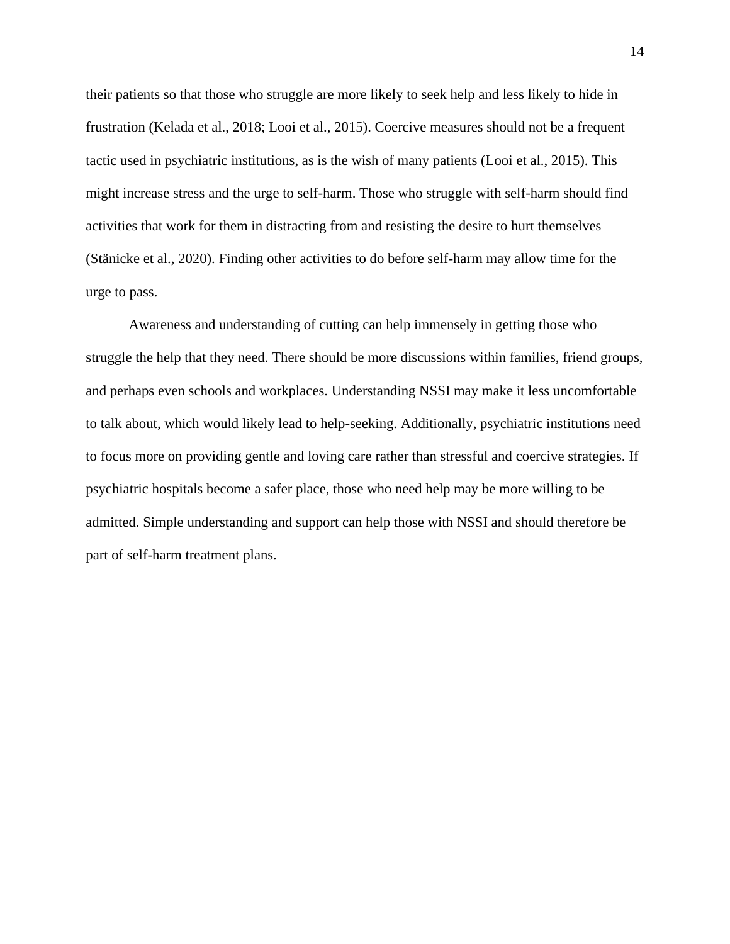their patients so that those who struggle are more likely to seek help and less likely to hide in frustration (Kelada et al., 2018; Looi et al., 2015). Coercive measures should not be a frequent tactic used in psychiatric institutions, as is the wish of many patients (Looi et al., 2015). This might increase stress and the urge to self-harm. Those who struggle with self-harm should find activities that work for them in distracting from and resisting the desire to hurt themselves (Stänicke et al., 2020). Finding other activities to do before self-harm may allow time for the urge to pass.

Awareness and understanding of cutting can help immensely in getting those who struggle the help that they need. There should be more discussions within families, friend groups, and perhaps even schools and workplaces. Understanding NSSI may make it less uncomfortable to talk about, which would likely lead to help-seeking. Additionally, psychiatric institutions need to focus more on providing gentle and loving care rather than stressful and coercive strategies. If psychiatric hospitals become a safer place, those who need help may be more willing to be admitted. Simple understanding and support can help those with NSSI and should therefore be part of self-harm treatment plans.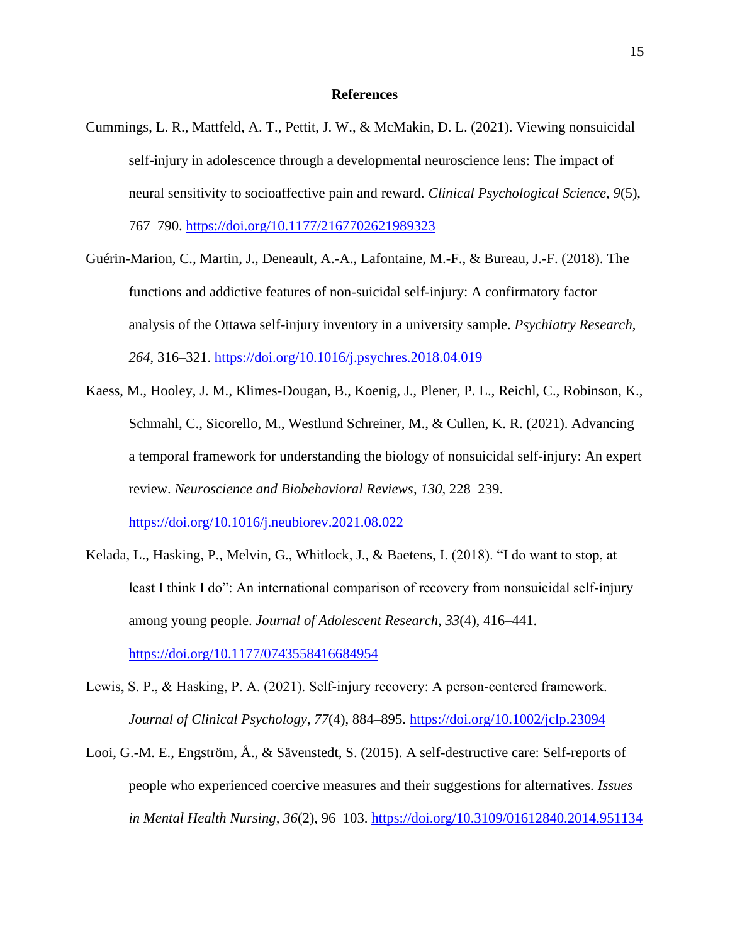### **References**

- Cummings, L. R., Mattfeld, A. T., Pettit, J. W., & McMakin, D. L. (2021). Viewing nonsuicidal self-injury in adolescence through a developmental neuroscience lens: The impact of neural sensitivity to socioaffective pain and reward. *Clinical Psychological Science*, *9*(5), 767–790. [https://doi.org/10.1177/2167702621989323](https://doi-org.erl.lib.byu.edu/10.1177/2167702621989323)
- Guérin-Marion, C., Martin, J., Deneault, A.-A., Lafontaine, M.-F., & Bureau, J.-F. (2018). The functions and addictive features of non-suicidal self-injury: A confirmatory factor analysis of the Ottawa self-injury inventory in a university sample. *Psychiatry Research*, *264*, 316–321.<https://doi.org/10.1016/j.psychres.2018.04.019>
- Kaess, M., Hooley, J. M., Klimes-Dougan, B., Koenig, J., Plener, P. L., Reichl, C., Robinson, K., Schmahl, C., Sicorello, M., Westlund Schreiner, M., & Cullen, K. R. (2021). Advancing a temporal framework for understanding the biology of nonsuicidal self-injury: An expert review. *Neuroscience and Biobehavioral Reviews*, *130*, 228–239. <https://doi.org/10.1016/j.neubiorev.2021.08.022>
- Kelada, L., Hasking, P., Melvin, G., Whitlock, J., & Baetens, I. (2018). "I do want to stop, at least I think I do": An international comparison of recovery from nonsuicidal self-injury among young people. *Journal of Adolescent Research*, *33*(4), 416–441. <https://doi.org/10.1177/0743558416684954>
- Lewis, S. P., & Hasking, P. A. (2021). Self-injury recovery: A person-centered framework. *Journal of Clinical Psychology*, *77*(4), 884–895.<https://doi.org/10.1002/jclp.23094>
- Looi, G.-M. E., Engström, Å., & Sävenstedt, S. (2015). A self-destructive care: Self-reports of people who experienced coercive measures and their suggestions for alternatives. *Issues in Mental Health Nursing, 36*(2), 96–103.<https://doi.org/10.3109/01612840.2014.951134>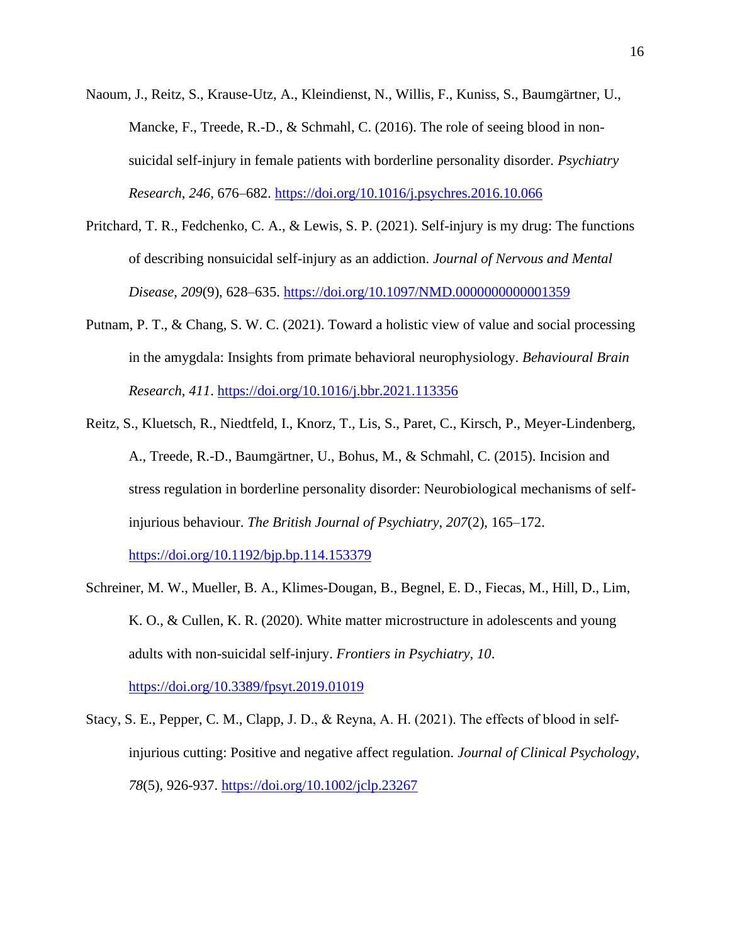- Naoum, J., Reitz, S., Krause-Utz, A., Kleindienst, N., Willis, F., Kuniss, S., Baumgärtner, U., Mancke, F., Treede, R.-D., & Schmahl, C. (2016). The role of seeing blood in nonsuicidal self-injury in female patients with borderline personality disorder. *Psychiatry Research*, *246*, 676–682. [https://doi.org/10.1016/j.psychres.2016.10.066](https://doi-org.erl.lib.byu.edu/10.1016/j.psychres.2016.10.066)
- Pritchard, T. R., Fedchenko, C. A., & Lewis, S. P. (2021). Self-injury is my drug: The functions of describing nonsuicidal self-injury as an addiction. *Journal of Nervous and Mental Disease*, *209*(9), 628–635.<https://doi.org/10.1097/NMD.0000000000001359>
- Putnam, P. T., & Chang, S. W. C. (2021). Toward a holistic view of value and social processing in the amygdala: Insights from primate behavioral neurophysiology. *Behavioural Brain Research*, *411*. <https://doi.org/10.1016/j.bbr.2021.113356>
- Reitz, S., Kluetsch, R., Niedtfeld, I., Knorz, T., Lis, S., Paret, C., Kirsch, P., Meyer-Lindenberg, A., Treede, R.-D., Baumgärtner, U., Bohus, M., & Schmahl, C. (2015). Incision and stress regulation in borderline personality disorder: Neurobiological mechanisms of selfinjurious behaviour. *The British Journal of Psychiatry*, *207*(2), 165–172.

<https://doi.org/10.1192/bjp.bp.114.153379>

Schreiner, M. W., Mueller, B. A., Klimes-Dougan, B., Begnel, E. D., Fiecas, M., Hill, D., Lim, K. O., & Cullen, K. R. (2020). White matter microstructure in adolescents and young adults with non-suicidal self-injury. *Frontiers in Psychiatry*, *10*. <https://doi.org/10.3389/fpsyt.2019.01019>

Stacy, S. E., Pepper, C. M., Clapp, J. D., & Reyna, A. H. (2021). The effects of blood in self‐ injurious cutting: Positive and negative affect regulation. *Journal of Clinical Psychology, 78*(5), 926-937.<https://doi.org/10.1002/jclp.23267>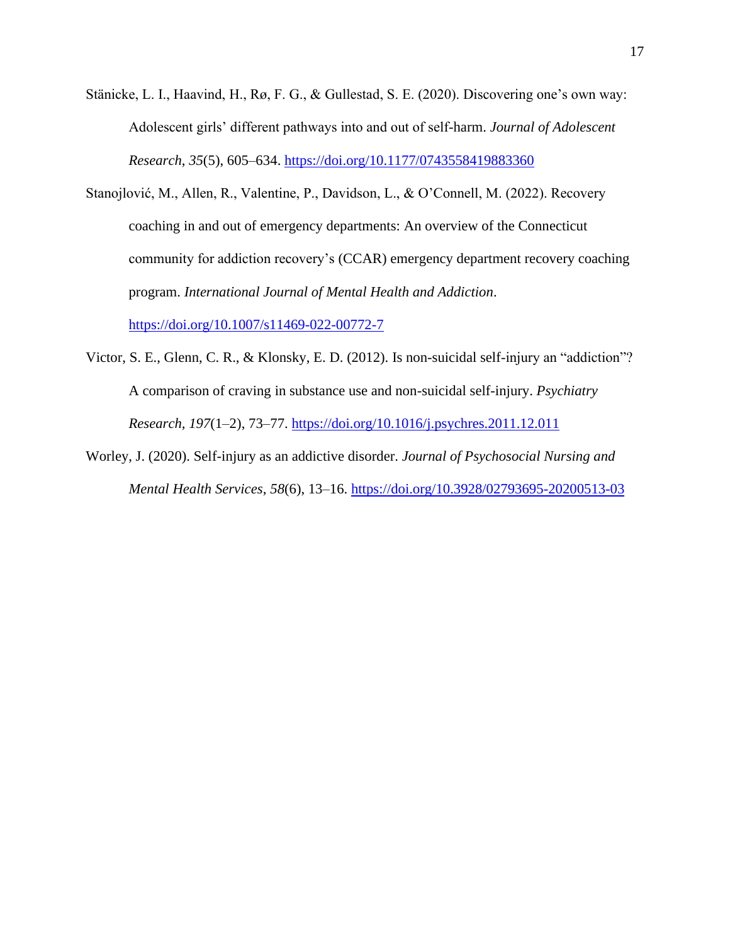- Stänicke, L. I., Haavind, H., Rø, F. G., & Gullestad, S. E. (2020). Discovering one's own way: Adolescent girls' different pathways into and out of self-harm. *Journal of Adolescent Research*, *35*(5), 605–634.<https://doi.org/10.1177/0743558419883360>
- Stanojlović, M., Allen, R., Valentine, P., Davidson, L., & O'Connell, M. (2022). Recovery coaching in and out of emergency departments: An overview of the Connecticut community for addiction recovery's (CCAR) emergency department recovery coaching program. *International Journal of Mental Health and Addiction*. <https://doi.org/10.1007/s11469-022-00772-7>
- Victor, S. E., Glenn, C. R., & Klonsky, E. D. (2012). Is non-suicidal self-injury an "addiction"? A comparison of craving in substance use and non-suicidal self-injury. *Psychiatry Research, 197*(1–2), 73–77.<https://doi.org/10.1016/j.psychres.2011.12.011>
- Worley, J. (2020). Self-injury as an addictive disorder. *Journal of Psychosocial Nursing and Mental Health Services*, *58*(6), 13–16. [https://doi.org/10.3928/02793695-20200513-03](https://doi-org.erl.lib.byu.edu/10.3928/02793695-20200513-03)